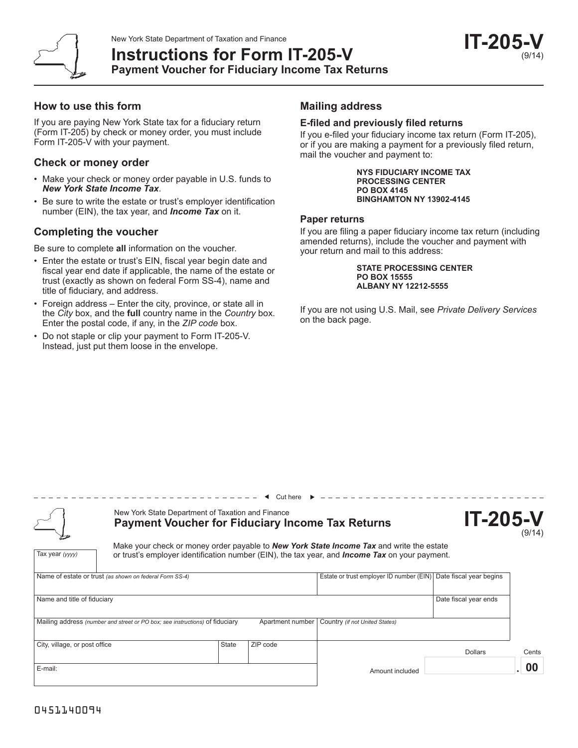

## **How to use this form**

If you are paying New York State tax for a fiduciary return (Form IT-205) by check or money order, you must include Form IT-205-V with your payment.

## **Check or money order**

- Make your check or money order payable in U.S. funds to *New York State Income Tax*.
- Be sure to write the estate or trust's employer identification number (EIN), the tax year, and *Income Tax* on it.

# **Completing the voucher**

Be sure to complete **all** information on the voucher.

- Enter the estate or trust's EIN, fiscal year begin date and fiscal year end date if applicable, the name of the estate or trust (exactly as shown on federal Form SS-4), name and title of fiduciary, and address.
- Foreign address Enter the city, province, or state all in the *City* box, and the **full** country name in the *Country* box. Enter the postal code, if any, in the *ZIP code* box.
- Do not staple or clip your payment to Form IT-205-V. Instead, just put them loose in the envelope.

# **Mailing address**

### **E-filed and previously filed returns**

If you e-filed your fiduciary income tax return (Form IT-205), or if you are making a payment for a previously filed return, mail the voucher and payment to:

> **NYS FIDUCIARY INCOME TAX PROCESSING CENTER PO BOX 4145 BINGHAMTON NY 13902-4145**

## **Paper returns**

If you are filing a paper fiduciary income tax return (including amended returns), include the voucher and payment with your return and mail to this address:

> **STATE PROCESSING CENTER PO BOX 15555 ALBANY NY 12212-5555**

If you are not using U.S. Mail, see *Private Delivery Services* on the back page.

Tax year *(yyyy)*

# New York State Department of Taxation and Finance **Payment Voucher for Fiduciary Income Tax Returns**

| <b>IT-205-V</b> |
|-----------------|
| (9/14)          |

Make your check or money order payable to *New York State Income Tax* and write the estate or trust's employer identification number (EIN), the tax year, and *Income Tax* on your payment.

 $\triangleleft$  Cut here  $\triangleright$ 

|                               | Name of estate or trust (as shown on federal Form SS-4)                      |              | Estate or trust employer ID number (EIN) Date fiscal year begins |                                                   |                       |       |
|-------------------------------|------------------------------------------------------------------------------|--------------|------------------------------------------------------------------|---------------------------------------------------|-----------------------|-------|
|                               |                                                                              |              |                                                                  |                                                   |                       |       |
| Name and title of fiduciary   |                                                                              |              |                                                                  |                                                   | Date fiscal year ends |       |
|                               |                                                                              |              |                                                                  |                                                   |                       |       |
|                               | Mailing address (number and street or PO box; see instructions) of fiduciary |              |                                                                  | Apartment number   Country (if not United States) |                       |       |
|                               |                                                                              |              |                                                                  |                                                   |                       |       |
| City, village, or post office |                                                                              | <b>State</b> | ZIP code                                                         |                                                   |                       |       |
|                               |                                                                              |              |                                                                  |                                                   | <b>Dollars</b>        | Cents |
| E-mail:                       |                                                                              |              |                                                                  | Amount included                                   |                       | 00    |
|                               |                                                                              |              |                                                                  |                                                   |                       |       |